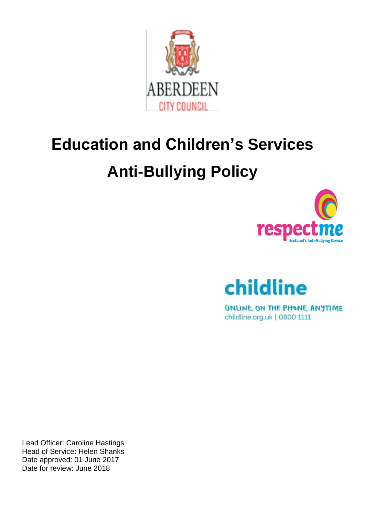

# **Education and Children's Services Anti-Bullying Policy**





ONLINE, ON THE PHONE, ANYTIME childline.org.uk | 0800 1111

Lead Officer: Caroline Hastings Head of Service: Helen Shanks Date approved: 01 June 2017 Date for review: June 2018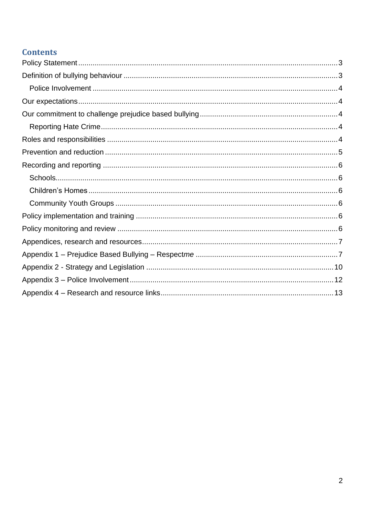# **Contents**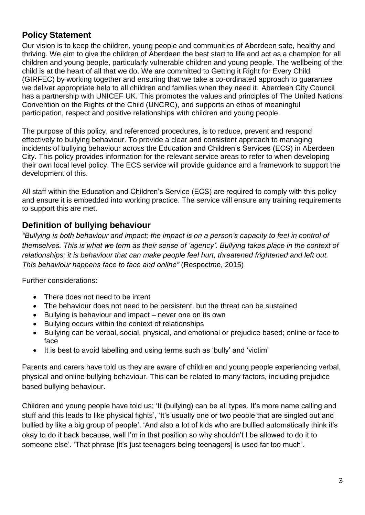# <span id="page-2-0"></span>**Policy Statement**

Our vision is to keep the children, young people and communities of Aberdeen safe, healthy and thriving. We aim to give the children of Aberdeen the best start to life and act as a champion for all children and young people, particularly vulnerable children and young people. The wellbeing of the child is at the heart of all that we do. We are committed to Getting it Right for Every Child (GIRFEC) by working together and ensuring that we take a co-ordinated approach to guarantee we deliver appropriate help to all children and families when they need it. Aberdeen City Council has a partnership with UNICEF UK. This promotes the values and principles of The United Nations Convention on the Rights of the Child (UNCRC), and supports an ethos of meaningful participation, respect and positive relationships with children and young people.

The purpose of this policy, and referenced procedures, is to reduce, prevent and respond effectively to bullying behaviour. To provide a clear and consistent approach to managing incidents of bullying behaviour across the Education and Children's Services (ECS) in Aberdeen City. This policy provides information for the relevant service areas to refer to when developing their own local level policy. The ECS service will provide guidance and a framework to support the development of this.

All staff within the Education and Children's Service (ECS) are required to comply with this policy and ensure it is embedded into working practice. The service will ensure any training requirements to support this are met.

# <span id="page-2-1"></span>**Definition of bullying behaviour**

*"Bullying is both behaviour and impact; the impact is on a person's capacity to feel in control of themselves. This is what we term as their sense of 'agency'. Bullying takes place in the context of relationships; it is behaviour that can make people feel hurt, threatened frightened and left out. This behaviour happens face to face and online"* (Respect*m*e, 2015)

Further considerations:

- There does not need to be intent
- The behaviour does not need to be persistent, but the threat can be sustained
- Bullying is behaviour and impact never one on its own
- Bullying occurs within the context of relationships
- Bullying can be verbal, social, physical, and emotional or prejudice based; online or face to face
- It is best to avoid labelling and using terms such as 'bully' and 'victim'

Parents and carers have told us they are aware of children and young people experiencing verbal, physical and online bullying behaviour. This can be related to many factors, including prejudice based bullying behaviour.

Children and young people have told us; 'It (bullying) can be all types. It's more name calling and stuff and this leads to like physical fights', 'It's usually one or two people that are singled out and bullied by like a big group of people', 'And also a lot of kids who are bullied automatically think it's okay to do it back because, well I'm in that position so why shouldn't I be allowed to do it to someone else'. 'That phrase [it's just teenagers being teenagers] is used far too much'.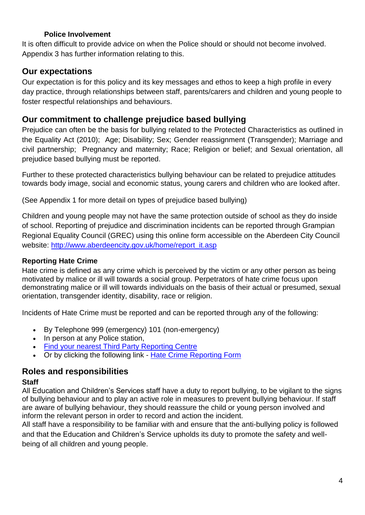#### **Police Involvement**

<span id="page-3-0"></span>It is often difficult to provide advice on when the Police should or should not become involved. Appendix 3 has further information relating to this.

# <span id="page-3-1"></span>**Our expectations**

Our expectation is for this policy and its key messages and ethos to keep a high profile in every day practice, through relationships between staff, parents/carers and children and young people to foster respectful relationships and behaviours.

# <span id="page-3-2"></span>**Our commitment to challenge prejudice based bullying**

Prejudice can often be the basis for bullying related to the Protected Characteristics as outlined in the Equality Act (2010); Age; Disability; Sex; Gender reassignment (Transgender); Marriage and civil partnership; Pregnancy and maternity; Race; Religion or belief; and Sexual orientation, all prejudice based bullying must be reported.

Further to these protected characteristics bullying behaviour can be related to prejudice attitudes towards body image, social and economic status, young carers and children who are looked after.

(See Appendix 1 for more detail on types of prejudice based bullying)

Children and young people may not have the same protection outside of school as they do inside of school. Reporting of prejudice and discrimination incidents can be reported through Grampian Regional Equality Council (GREC) using this online form accessible on the Aberdeen City Council website: [http://www.aberdeencity.gov.uk/home/report\\_it.asp](http://www.aberdeencity.gov.uk/home/report_it.asp)

## <span id="page-3-3"></span>**Reporting Hate Crime**

Hate crime is defined as any crime which is perceived by the victim or any other person as being motivated by malice or ill will towards a social group. Perpetrators of hate crime focus upon demonstrating malice or ill will towards individuals on the basis of their actual or presumed, sexual orientation, transgender identity, disability, race or religion.

Incidents of Hate Crime must be reported and can be reported through any of the following:

- By Telephone 999 (emergency) 101 (non-emergency)
- In person at any Police station,
- [Find your nearest Third Party Reporting Centre](http://www.scotland.police.uk/contact-us/hate-crime-and-third-party-reporting/third-party-reporting-centres)
- Or by clicking the following link [Hate Crime Reporting Form](https://www.scotland.police.uk/hate-crime/)

# <span id="page-3-4"></span>**Roles and responsibilities**

## **Staff**

All Education and Children's Services staff have a duty to report bullying, to be vigilant to the signs of bullying behaviour and to play an active role in measures to prevent bullying behaviour. If staff are aware of bullying behaviour, they should reassure the child or young person involved and inform the relevant person in order to record and action the incident.

All staff have a responsibility to be familiar with and ensure that the anti-bullying policy is followed and that the Education and Children's Service upholds its duty to promote the safety and wellbeing of all children and young people.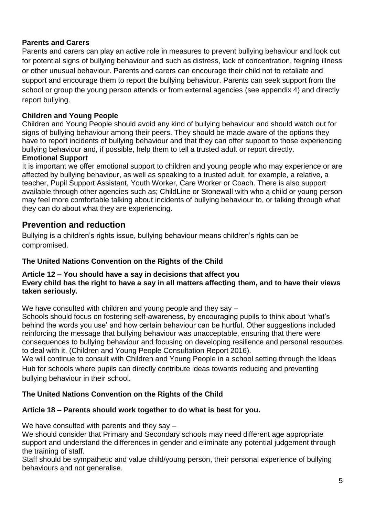## **Parents and Carers**

Parents and carers can play an active role in measures to prevent bullying behaviour and look out for potential signs of bullying behaviour and such as distress, lack of concentration, feigning illness or other unusual behaviour. Parents and carers can encourage their child not to retaliate and support and encourage them to report the bullying behaviour. Parents can seek support from the school or group the young person attends or from external agencies (see appendix 4) and directly report bullying.

#### **Children and Young People**

Children and Young People should avoid any kind of bullying behaviour and should watch out for signs of bullying behaviour among their peers. They should be made aware of the options they have to report incidents of bullying behaviour and that they can offer support to those experiencing bullying behaviour and, if possible, help them to tell a trusted adult or report directly.

## **Emotional Support**

It is important we offer emotional support to children and young people who may experience or are affected by bullying behaviour, as well as speaking to a trusted adult, for example, a relative, a teacher, Pupil Support Assistant, Youth Worker, Care Worker or Coach. There is also support available through other agencies such as; ChildLine or Stonewall with who a child or young person may feel more comfortable talking about incidents of bullying behaviour to, or talking through what they can do about what they are experiencing.

## <span id="page-4-0"></span>**Prevention and reduction**

Bullying is a children's rights issue, bullying behaviour means children's rights can be compromised.

#### **The United Nations Convention on the Rights of the Child**

#### **Article 12 – You should have a say in decisions that affect you Every child has the right to have a say in all matters affecting them, and to have their views taken seriously.**

We have consulted with children and young people and they say –

Schools should focus on fostering self-awareness, by encouraging pupils to think about 'what's behind the words you use' and how certain behaviour can be hurtful. Other suggestions included reinforcing the message that bullying behaviour was unacceptable, ensuring that there were consequences to bullying behaviour and focusing on developing resilience and personal resources to deal with it. (Children and Young People Consultation Report 2016).

We will continue to consult with Children and Young People in a school setting through the Ideas Hub for schools where pupils can directly contribute ideas towards reducing and preventing bullying behaviour in their school.

#### **The United Nations Convention on the Rights of the Child**

#### **Article 18 – Parents should work together to do what is best for you.**

We have consulted with parents and they say –

We should consider that Primary and Secondary schools may need different age appropriate support and understand the differences in gender and eliminate any potential judgement through the training of staff.

Staff should be sympathetic and value child/young person, their personal experience of bullying behaviours and not generalise.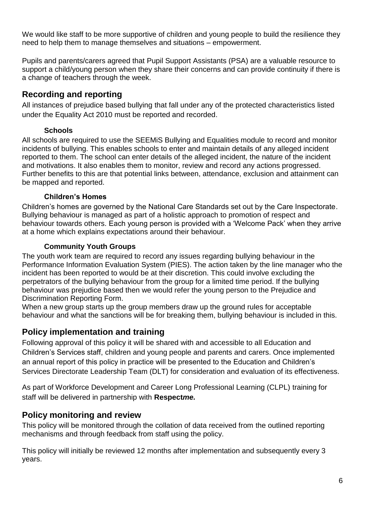We would like staff to be more supportive of children and young people to build the resilience they need to help them to manage themselves and situations – empowerment.

Pupils and parents/carers agreed that Pupil Support Assistants (PSA) are a valuable resource to support a child/young person when they share their concerns and can provide continuity if there is a change of teachers through the week.

# <span id="page-5-0"></span>**Recording and reporting**

All instances of prejudice based bullying that fall under any of the protected characteristics listed under the Equality Act 2010 must be reported and recorded.

## **Schools**

<span id="page-5-1"></span>All schools are required to use the SEEMiS Bullying and Equalities module to record and monitor incidents of bullying. This enables schools to enter and maintain details of any alleged incident reported to them. The school can enter details of the alleged incident, the nature of the incident and motivations. It also enables them to monitor, review and record any actions progressed. Further benefits to this are that potential links between, attendance, exclusion and attainment can be mapped and reported.

## **Children's Homes**

<span id="page-5-2"></span>Children's homes are governed by the National Care Standards set out by the Care Inspectorate. Bullying behaviour is managed as part of a holistic approach to promotion of respect and behaviour towards others. Each young person is provided with a 'Welcome Pack' when they arrive at a home which explains expectations around their behaviour.

## **Community Youth Groups**

<span id="page-5-3"></span>The youth work team are required to record any issues regarding bullying behaviour in the Performance Information Evaluation System (PIES). The action taken by the line manager who the incident has been reported to would be at their discretion. This could involve excluding the perpetrators of the bullying behaviour from the group for a limited time period. If the bullying behaviour was prejudice based then we would refer the young person to the Prejudice and Discrimination Reporting Form.

When a new group starts up the group members draw up the ground rules for acceptable behaviour and what the sanctions will be for breaking them, bullying behaviour is included in this.

# <span id="page-5-4"></span>**Policy implementation and training**

Following approval of this policy it will be shared with and accessible to all Education and Children's Services staff, children and young people and parents and carers. Once implemented an annual report of this policy in practice will be presented to the Education and Children's Services Directorate Leadership Team (DLT) for consideration and evaluation of its effectiveness.

As part of Workforce Development and Career Long Professional Learning (CLPL) training for staff will be delivered in partnership with **Respect***me.*

# <span id="page-5-5"></span>**Policy monitoring and review**

This policy will be monitored through the collation of data received from the outlined reporting mechanisms and through feedback from staff using the policy.

This policy will initially be reviewed 12 months after implementation and subsequently every 3 years.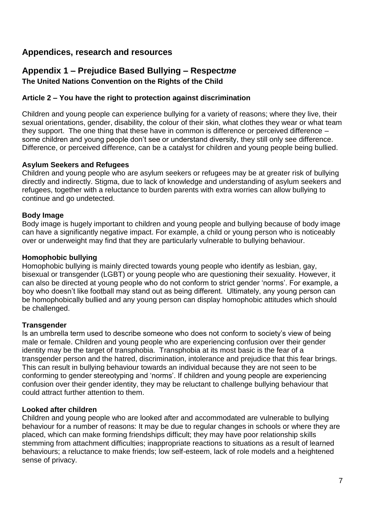# <span id="page-6-0"></span>**Appendices, research and resources**

# <span id="page-6-1"></span>**Appendix 1 – Prejudice Based Bullying – Respect***me* **The United Nations Convention on the Rights of the Child**

#### **Article 2 – You have the right to protection against discrimination**

Children and young people can experience bullying for a variety of reasons; where they live, their sexual orientations, gender, disability, the colour of their skin, what clothes they wear or what team they support. The one thing that these have in common is difference or perceived difference – some children and young people don't see or understand diversity, they still only see difference. Difference, or perceived difference, can be a catalyst for children and young people being bullied.

#### **Asylum Seekers and Refugees**

Children and young people who are asylum seekers or refugees may be at greater risk of bullying directly and indirectly. Stigma, due to lack of knowledge and understanding of asylum seekers and refugees, together with a reluctance to burden parents with extra worries can allow bullying to continue and go undetected.

#### **Body Image**

Body image is hugely important to children and young people and bullying because of body image can have a significantly negative impact. For example, a child or young person who is noticeably over or underweight may find that they are particularly vulnerable to bullying behaviour.

#### **Homophobic bullying**

Homophobic bullying is mainly directed towards young people who identify as lesbian, gay, bisexual or transgender (LGBT) or young people who are questioning their sexuality. However, it can also be directed at young people who do not conform to strict gender 'norms'. For example, a boy who doesn't like football may stand out as being different. Ultimately, any young person can be homophobically bullied and any young person can display homophobic attitudes which should be challenged.

#### **Transgender**

Is an umbrella term used to describe someone who does not conform to society's view of being male or female. Children and young people who are experiencing confusion over their gender identity may be the target of transphobia. Transphobia at its most basic is the fear of a transgender person and the hatred, discrimination, intolerance and prejudice that this fear brings. This can result in bullying behaviour towards an individual because they are not seen to be conforming to gender stereotyping and 'norms'. If children and young people are experiencing confusion over their gender identity, they may be reluctant to challenge bullying behaviour that could attract further attention to them.

#### **Looked after children**

Children and young people who are looked after and accommodated are vulnerable to bullying behaviour for a number of reasons: It may be due to regular changes in schools or where they are placed, which can make forming friendships difficult; they may have poor relationship skills stemming from attachment difficulties; inappropriate reactions to situations as a result of learned behaviours; a reluctance to make friends; low self-esteem, lack of role models and a heightened sense of privacy.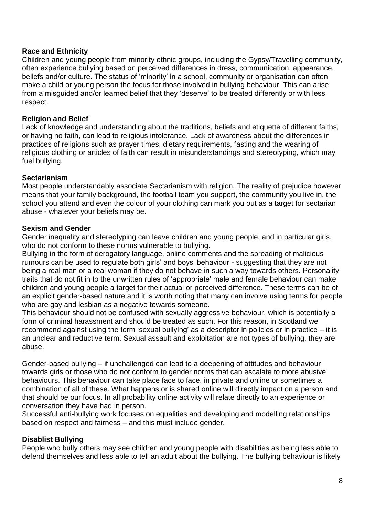#### **Race and Ethnicity**

Children and young people from minority ethnic groups, including the Gypsy/Travelling community, often experience bullying based on perceived differences in dress, communication, appearance, beliefs and/or culture. The status of 'minority' in a school, community or organisation can often make a child or young person the focus for those involved in bullying behaviour. This can arise from a misguided and/or learned belief that they 'deserve' to be treated differently or with less respect.

#### **Religion and Belief**

Lack of knowledge and understanding about the traditions, beliefs and etiquette of different faiths, or having no faith, can lead to religious intolerance. Lack of awareness about the differences in practices of religions such as prayer times, dietary requirements, fasting and the wearing of religious clothing or articles of faith can result in misunderstandings and stereotyping, which may fuel bullying.

#### **Sectarianism**

Most people understandably associate Sectarianism with religion. The reality of prejudice however means that your family background, the football team you support, the community you live in, the school you attend and even the colour of your clothing can mark you out as a target for sectarian abuse - whatever your beliefs may be.

#### **Sexism and Gender**

Gender inequality and stereotyping can leave children and young people, and in particular girls, who do not conform to these norms vulnerable to bullying.

Bullying in the form of derogatory language, online comments and the spreading of malicious rumours can be used to regulate both girls' and boys' behaviour - suggesting that they are not being a real man or a real woman if they do not behave in such a way towards others. Personality traits that do not fit in to the unwritten rules of 'appropriate' male and female behaviour can make children and young people a target for their actual or perceived difference. These terms can be of an explicit gender-based nature and it is worth noting that many can involve using terms for people who are gay and lesbian as a negative towards someone.

This behaviour should not be confused with sexually aggressive behaviour, which is potentially a form of criminal harassment and should be treated as such. For this reason, in Scotland we recommend against using the term 'sexual bullying' as a descriptor in policies or in practice – it is an unclear and reductive term. Sexual assault and exploitation are not types of bullying, they are abuse.

Gender-based bullying – if unchallenged can lead to a deepening of attitudes and behaviour towards girls or those who do not conform to gender norms that can escalate to more abusive behaviours. This behaviour can take place face to face, in private and online or sometimes a combination of all of these. What happens or is shared online will directly impact on a person and that should be our focus. In all probability online activity will relate directly to an experience or conversation they have had in person.

Successful anti-bullying work focuses on equalities and developing and modelling relationships based on respect and fairness – and this must include gender.

#### **Disablist Bullying**

People who bully others may see children and young people with disabilities as being less able to defend themselves and less able to tell an adult about the bullying. The bullying behaviour is likely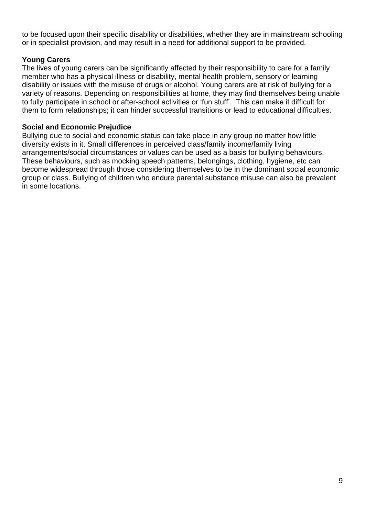to be focused upon their specific disability or disabilities, whether they are in mainstream schooling or in specialist provision, and may result in a need for additional support to be provided.

## **Young Carers**

The lives of young carers can be significantly affected by their responsibility to care for a family member who has a physical illness or disability, mental health problem, sensory or learning disability or issues with the misuse of drugs or alcohol. Young carers are at risk of bullying for a variety of reasons. Depending on responsibilities at home, they may find themselves being unable to fully participate in school or after-school activities or 'fun stuff'. This can make it difficult for them to form relationships; it can hinder successful transitions or lead to educational difficulties.

#### **Social and Economic Prejudice**

Bullying due to social and economic status can take place in any group no matter how little diversity exists in it. Small differences in perceived class/family income/family living arrangements/social circumstances or values can be used as a basis for bullying behaviours. These behaviours, such as mocking speech patterns, belongings, clothing, hygiene, etc can become widespread through those considering themselves to be in the dominant social economic group or class. Bullying of children who endure parental substance misuse can also be prevalent in some locations.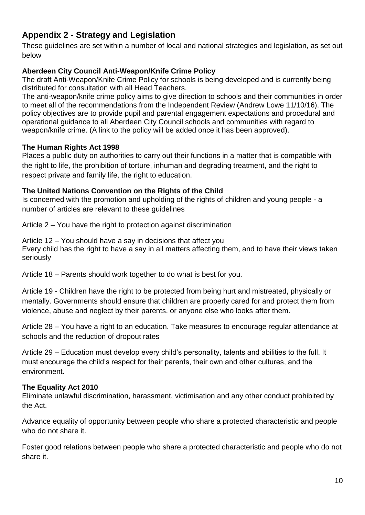# <span id="page-9-0"></span>**Appendix 2 - Strategy and Legislation**

These guidelines are set within a number of local and national strategies and legislation, as set out below

## **Aberdeen City Council Anti-Weapon/Knife Crime Policy**

The draft Anti-Weapon/Knife Crime Policy for schools is being developed and is currently being distributed for consultation with all Head Teachers.

The anti-weapon/knife crime policy aims to give direction to schools and their communities in order to meet all of the recommendations from the Independent Review (Andrew Lowe 11/10/16). The policy objectives are to provide pupil and parental engagement expectations and procedural and operational guidance to all Aberdeen City Council schools and communities with regard to weapon/knife crime. (A link to the policy will be added once it has been approved).

#### **The Human Rights Act 1998**

Places a public duty on authorities to carry out their functions in a matter that is compatible with the right to life, the prohibition of torture, inhuman and degrading treatment, and the right to respect private and family life, the right to education.

## **The United Nations Convention on the Rights of the Child**

Is concerned with the promotion and upholding of the rights of children and young people - a number of articles are relevant to these guidelines

Article 2 – You have the right to protection against discrimination

Article 12 – You should have a say in decisions that affect you Every child has the right to have a say in all matters affecting them, and to have their views taken seriously

Article 18 – Parents should work together to do what is best for you.

Article 19 - Children have the right to be protected from being hurt and mistreated, physically or mentally. Governments should ensure that children are properly cared for and protect them from violence, abuse and neglect by their parents, or anyone else who looks after them.

Article 28 – You have a right to an education. Take measures to encourage regular attendance at schools and the reduction of dropout rates

Article 29 – Education must develop every child's personality, talents and abilities to the full. It must encourage the child's respect for their parents, their own and other cultures, and the environment.

#### **The Equality Act 2010**

Eliminate unlawful discrimination, harassment, victimisation and any other conduct prohibited by the Act.

Advance equality of opportunity between people who share a protected characteristic and people who do not share it.

Foster good relations between people who share a protected characteristic and people who do not share it.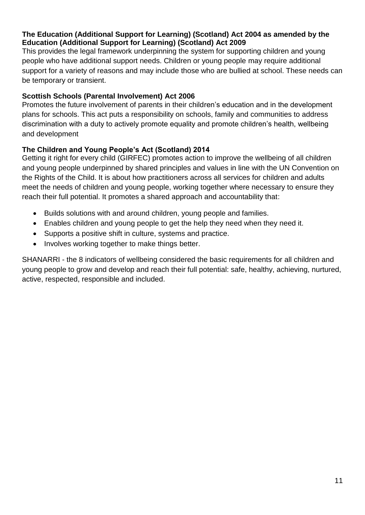#### **The Education (Additional Support for Learning) (Scotland) Act 2004 as amended by the Education (Additional Support for Learning) (Scotland) Act 2009**

This provides the legal framework underpinning the system for supporting children and young people who have additional support needs. Children or young people may require additional support for a variety of reasons and may include those who are bullied at school. These needs can be temporary or transient.

## **Scottish Schools (Parental Involvement) Act 2006**

Promotes the future involvement of parents in their children's education and in the development plans for schools. This act puts a responsibility on schools, family and communities to address discrimination with a duty to actively promote equality and promote children's health, wellbeing and development

## **The Children and Young People's Act (Scotland) 2014**

Getting it right for every child (GIRFEC) promotes action to improve the wellbeing of all children and young people underpinned by shared principles and values in line with the UN Convention on the Rights of the Child. It is about how practitioners across all services for children and adults meet the needs of children and young people, working together where necessary to ensure they reach their full potential. It promotes a shared approach and accountability that:

- Builds solutions with and around children, young people and families.
- Enables children and young people to get the help they need when they need it.
- Supports a positive shift in culture, systems and practice.
- Involves working together to make things better.

SHANARRI - the 8 indicators of wellbeing considered the basic requirements for all children and young people to grow and develop and reach their full potential: safe, healthy, achieving, nurtured, active, respected, responsible and included.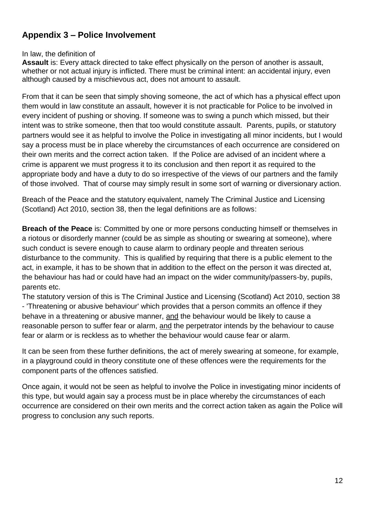# <span id="page-11-0"></span>**Appendix 3 – Police Involvement**

#### In law, the definition of

**Assault** is: Every attack directed to take effect physically on the person of another is assault, whether or not actual injury is inflicted. There must be criminal intent: an accidental injury, even although caused by a mischievous act, does not amount to assault.

From that it can be seen that simply shoving someone, the act of which has a physical effect upon them would in law constitute an assault, however it is not practicable for Police to be involved in every incident of pushing or shoving. If someone was to swing a punch which missed, but their intent was to strike someone, then that too would constitute assault. Parents, pupils, or statutory partners would see it as helpful to involve the Police in investigating all minor incidents, but I would say a process must be in place whereby the circumstances of each occurrence are considered on their own merits and the correct action taken. If the Police are advised of an incident where a crime is apparent we must progress it to its conclusion and then report it as required to the appropriate body and have a duty to do so irrespective of the views of our partners and the family of those involved. That of course may simply result in some sort of warning or diversionary action.

Breach of the Peace and the statutory equivalent, namely The Criminal Justice and Licensing (Scotland) Act 2010, section 38, then the legal definitions are as follows:

**Breach of the Peace** is: Committed by one or more persons conducting himself or themselves in a riotous or disorderly manner (could be as simple as shouting or swearing at someone), where such conduct is severe enough to cause alarm to ordinary people and threaten serious disturbance to the community. This is qualified by requiring that there is a public element to the act, in example, it has to be shown that in addition to the effect on the person it was directed at, the behaviour has had or could have had an impact on the wider community/passers-by, pupils, parents etc.

The statutory version of this is The Criminal Justice and Licensing (Scotland) Act 2010, section 38 - 'Threatening or abusive behaviour' which provides that a person commits an offence if they behave in a threatening or abusive manner, and the behaviour would be likely to cause a reasonable person to suffer fear or alarm, and the perpetrator intends by the behaviour to cause fear or alarm or is reckless as to whether the behaviour would cause fear or alarm.

It can be seen from these further definitions, the act of merely swearing at someone, for example, in a playground could in theory constitute one of these offences were the requirements for the component parts of the offences satisfied.

Once again, it would not be seen as helpful to involve the Police in investigating minor incidents of this type, but would again say a process must be in place whereby the circumstances of each occurrence are considered on their own merits and the correct action taken as again the Police will progress to conclusion any such reports.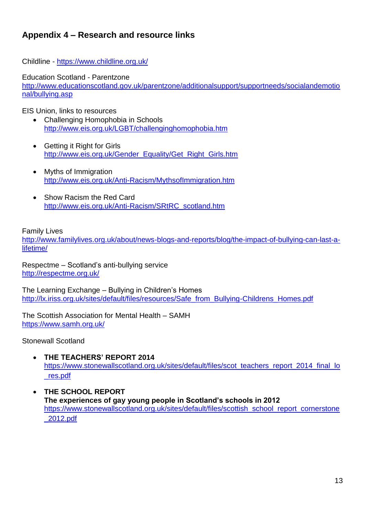# <span id="page-12-0"></span>**Appendix 4 – Research and resource links**

Childline - <https://www.childline.org.uk/>

Education Scotland - Parentzone [http://www.educationscotland.gov.uk/parentzone/additionalsupport/supportneeds/socialandemotio](http://www.educationscotland.gov.uk/parentzone/additionalsupport/supportneeds/socialandemotional/bullying.asp) [nal/bullying.asp](http://www.educationscotland.gov.uk/parentzone/additionalsupport/supportneeds/socialandemotional/bullying.asp)

EIS Union, links to resources

- Challenging Homophobia in Schools <http://www.eis.org.uk/LGBT/challenginghomophobia.htm>
- Getting it Right for Girls [http://www.eis.org.uk/Gender\\_Equality/Get\\_Right\\_Girls.htm](http://www.eis.org.uk/Gender_Equality/Get_Right_Girls.htm)
- Myths of Immigration <http://www.eis.org.uk/Anti-Racism/MythsofImmigration.htm>
- Show Racism the Red Card [http://www.eis.org.uk/Anti-Racism/SRtRC\\_scotland.htm](http://www.eis.org.uk/Anti-Racism/SRtRC_scotland.htm)

Family Lives

[http://www.familylives.org.uk/about/news-blogs-and-reports/blog/the-impact-of-bullying-can-last-a](http://www.familylives.org.uk/about/news-blogs-and-reports/blog/the-impact-of-bullying-can-last-a-lifetime/)[lifetime/](http://www.familylives.org.uk/about/news-blogs-and-reports/blog/the-impact-of-bullying-can-last-a-lifetime/)

Respectme – Scotland's anti-bullying service <http://respectme.org.uk/>

The Learning Exchange – Bullying in Children's Homes [http://lx.iriss.org.uk/sites/default/files/resources/Safe\\_from\\_Bullying-Childrens\\_Homes.pdf](http://lx.iriss.org.uk/sites/default/files/resources/Safe_from_Bullying-Childrens_Homes.pdf)

The Scottish Association for Mental Health – SAMH <https://www.samh.org.uk/>

Stonewall Scotland

- **THE TEACHERS' REPORT 2014** [https://www.stonewallscotland.org.uk/sites/default/files/scot\\_teachers\\_report\\_2014\\_final\\_lo](https://www.stonewallscotland.org.uk/sites/default/files/scot_teachers_report_2014_final_lo_res.pdf) [\\_res.pdf](https://www.stonewallscotland.org.uk/sites/default/files/scot_teachers_report_2014_final_lo_res.pdf)
- **THE SCHOOL REPORT The experiences of gay young people in Scotland's schools in 2012** [https://www.stonewallscotland.org.uk/sites/default/files/scottish\\_school\\_report\\_cornerstone](https://www.stonewallscotland.org.uk/sites/default/files/scottish_school_report_cornerstone_2012.pdf) [\\_2012.pdf](https://www.stonewallscotland.org.uk/sites/default/files/scottish_school_report_cornerstone_2012.pdf)